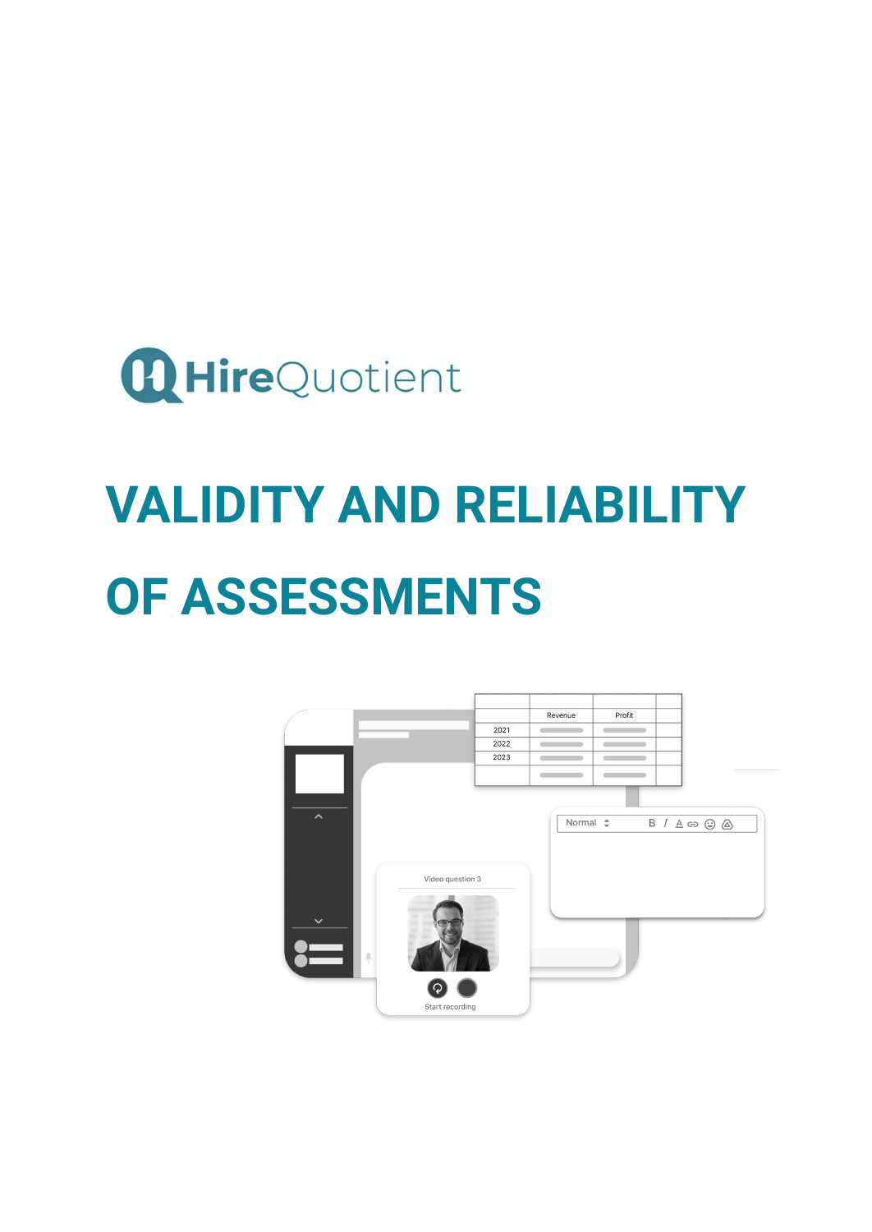

# **VALIDITY AND RELIABILITY OF ASSESSMENTS**

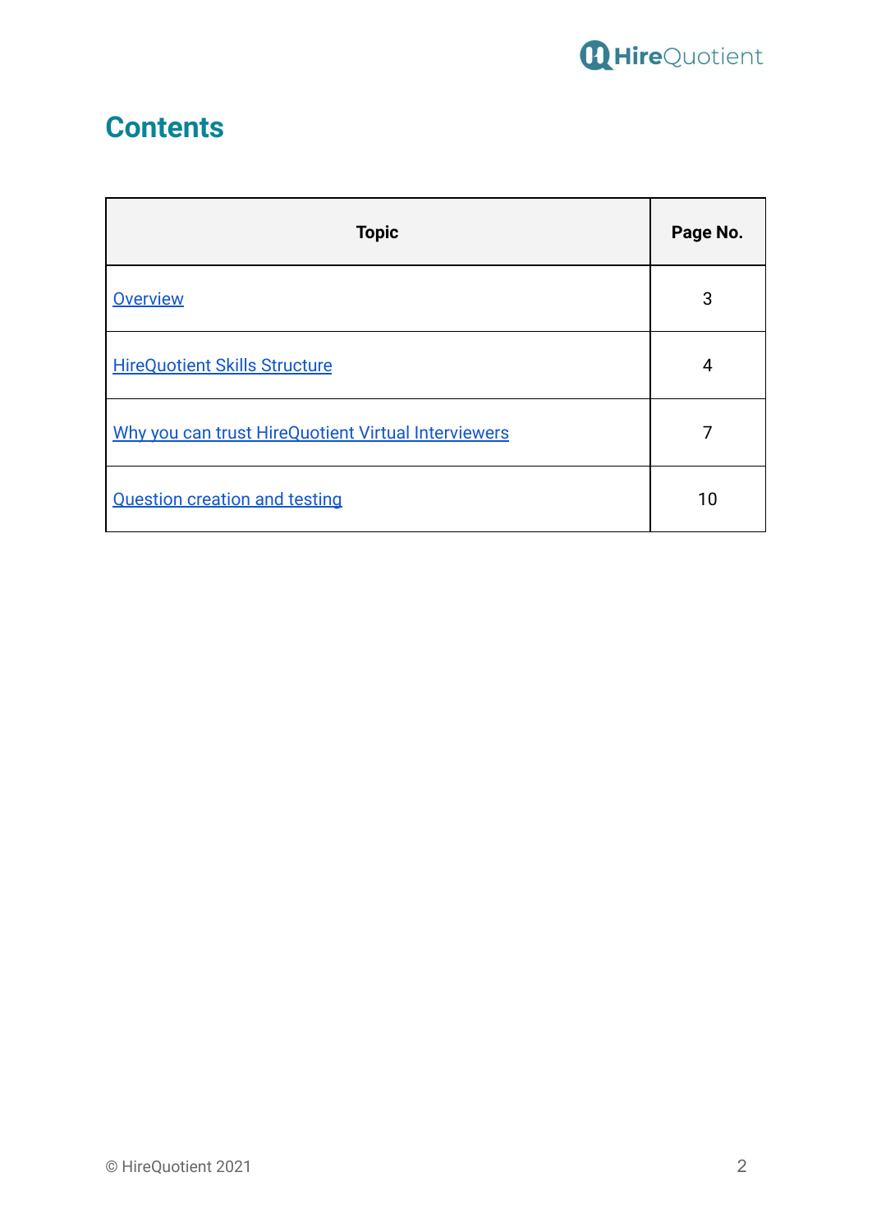

# **Contents**

| <b>Topic</b>                                        | Page No. |
|-----------------------------------------------------|----------|
| <b>Overview</b>                                     | 3        |
| <b>HireQuotient Skills Structure</b>                | 4        |
| Why you can trust HireQuotient Virtual Interviewers |          |
| <b>Question creation and testing</b>                | 10       |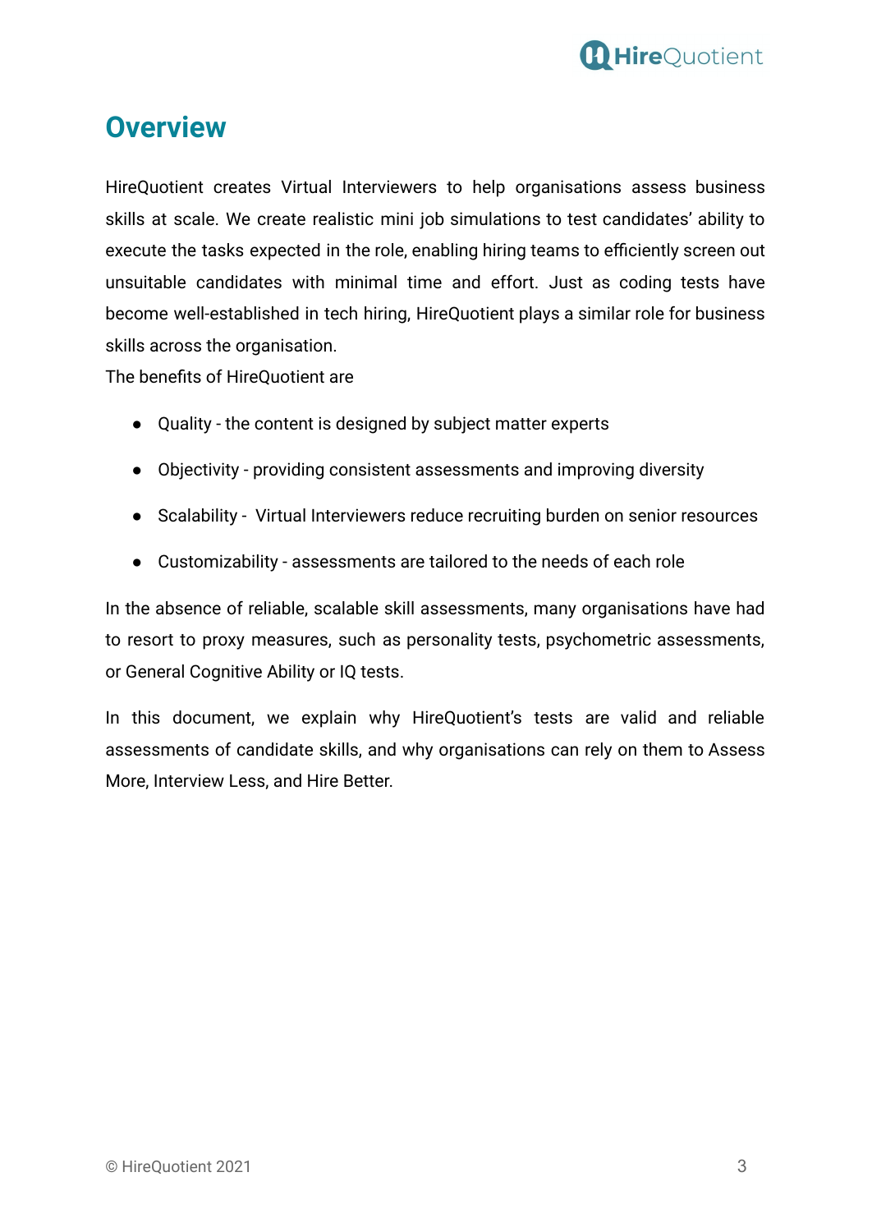

## <span id="page-2-0"></span>**Overview**

HireQuotient creates Virtual Interviewers to help organisations assess business skills at scale. We create realistic mini job simulations to test candidates' ability to execute the tasks expected in the role, enabling hiring teams to efficiently screen out unsuitable candidates with minimal time and effort. Just as coding tests have become well-established in tech hiring, HireQuotient plays a similar role for business skills across the organisation.

The benefits of HireQuotient are

- Quality the content is designed by subject matter experts
- Objectivity providing consistent assessments and improving diversity
- Scalability Virtual Interviewers reduce recruiting burden on senior resources
- Customizability assessments are tailored to the needs of each role

In the absence of reliable, scalable skill assessments, many organisations have had to resort to proxy measures, such as personality tests, psychometric assessments, or General Cognitive Ability or IQ tests.

In this document, we explain why HireQuotient's tests are valid and reliable assessments of candidate skills, and why organisations can rely on them to Assess More, Interview Less, and Hire Better.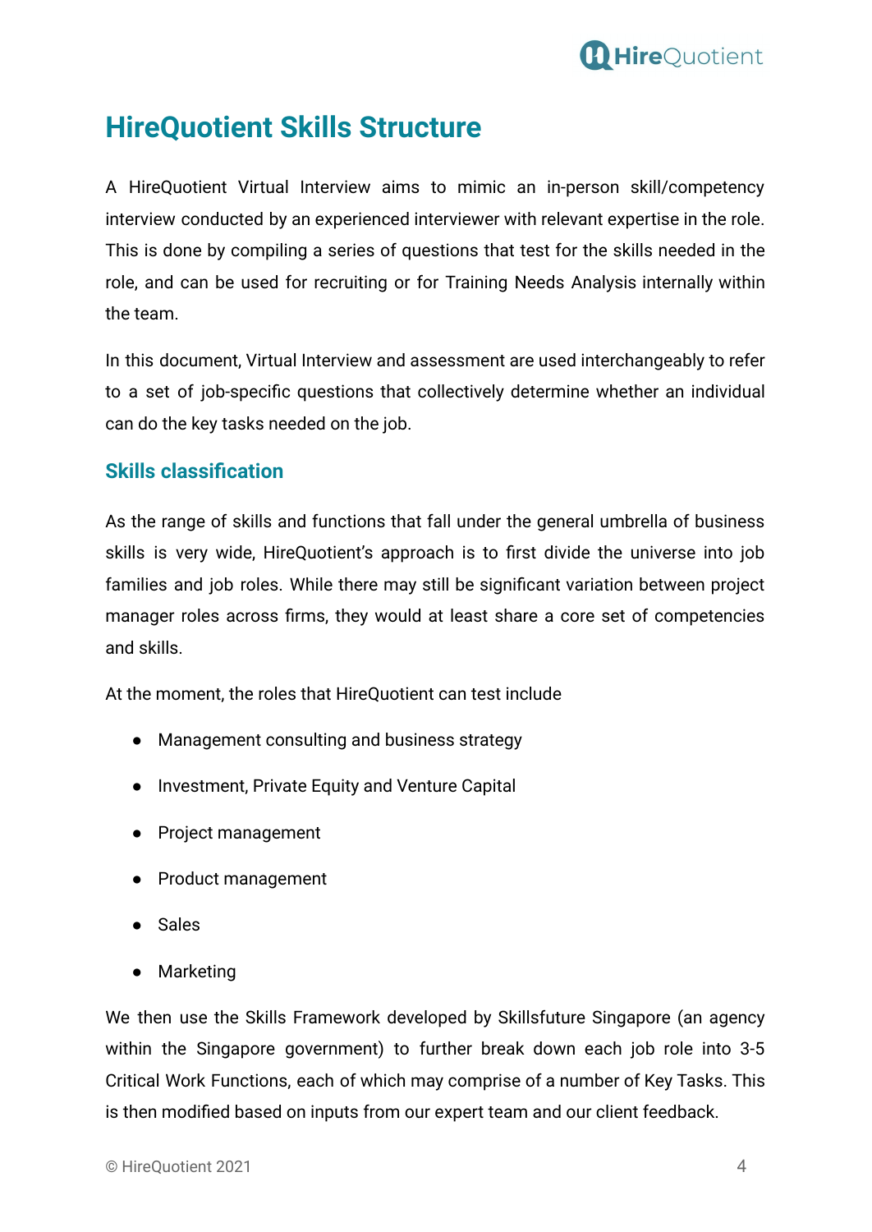

# <span id="page-3-0"></span>**HireQuotient Skills Structure**

A HireQuotient Virtual Interview aims to mimic an in-person skill/competency interview conducted by an experienced interviewer with relevant expertise in the role. This is done by compiling a series of questions that test for the skills needed in the role, and can be used for recruiting or for Training Needs Analysis internally within the team.

In this document, Virtual Interview and assessment are used interchangeably to refer to a set of job-specific questions that collectively determine whether an individual can do the key tasks needed on the job.

#### **Skills classification**

As the range of skills and functions that fall under the general umbrella of business skills is very wide, HireQuotient's approach is to first divide the universe into job families and job roles. While there may still be significant variation between project manager roles across firms, they would at least share a core set of competencies and skills.

At the moment, the roles that HireQuotient can test include

- Management consulting and business strategy
- Investment, Private Equity and Venture Capital
- Project management
- Product management
- Sales
- Marketing

We then use the Skills Framework developed by Skillsfuture Singapore (an agency within the Singapore government) to further break down each job role into 3-5 Critical Work Functions, each of which may comprise of a number of Key Tasks. This is then modified based on inputs from our expert team and our client feedback.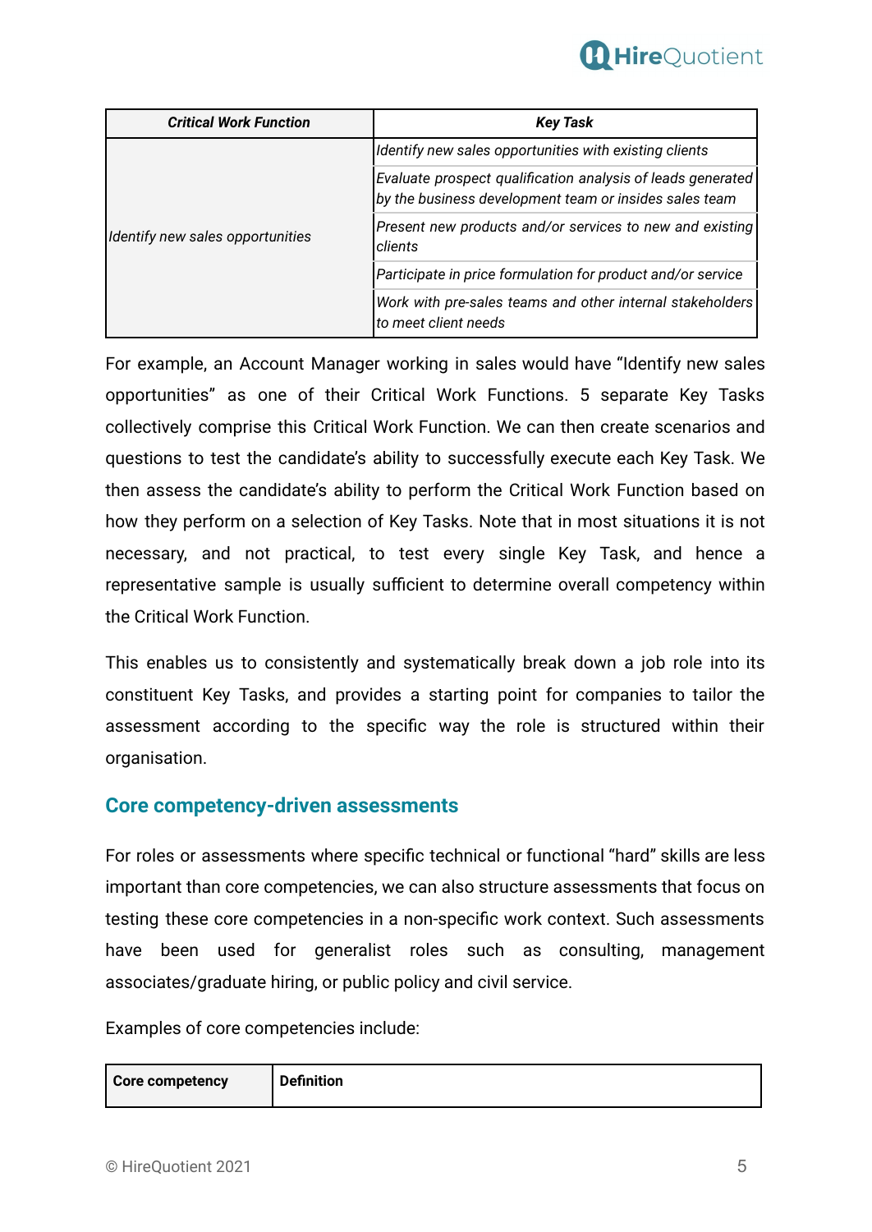

| <b>Critical Work Function</b>    | <b>Key Task</b>                                                                                                       |
|----------------------------------|-----------------------------------------------------------------------------------------------------------------------|
| Identify new sales opportunities | Identify new sales opportunities with existing clients                                                                |
|                                  | Evaluate prospect qualification analysis of leads generated<br>by the business development team or insides sales team |
|                                  | Present new products and/or services to new and existing<br>clients                                                   |
|                                  | Participate in price formulation for product and/or service                                                           |
|                                  | Work with pre-sales teams and other internal stakeholders<br>to meet client needs                                     |

For example, an Account Manager working in sales would have "Identify new sales opportunities" as one of their Critical Work Functions. 5 separate Key Tasks collectively comprise this Critical Work Function. We can then create scenarios and questions to test the candidate's ability to successfully execute each Key Task. We then assess the candidate's ability to perform the Critical Work Function based on how they perform on a selection of Key Tasks. Note that in most situations it is not necessary, and not practical, to test every single Key Task, and hence a representative sample is usually sufficient to determine overall competency within the Critical Work Function.

This enables us to consistently and systematically break down a job role into its constituent Key Tasks, and provides a starting point for companies to tailor the assessment according to the specific way the role is structured within their organisation.

#### **Core competency-driven assessments**

For roles or assessments where specific technical or functional "hard" skills are less important than core competencies, we can also structure assessments that focus on testing these core competencies in a non-specific work context. Such assessments have been used for generalist roles such as consulting, management associates/graduate hiring, or public policy and civil service.

Examples of core competencies include:

| <b>Definition</b> |
|-------------------|
|                   |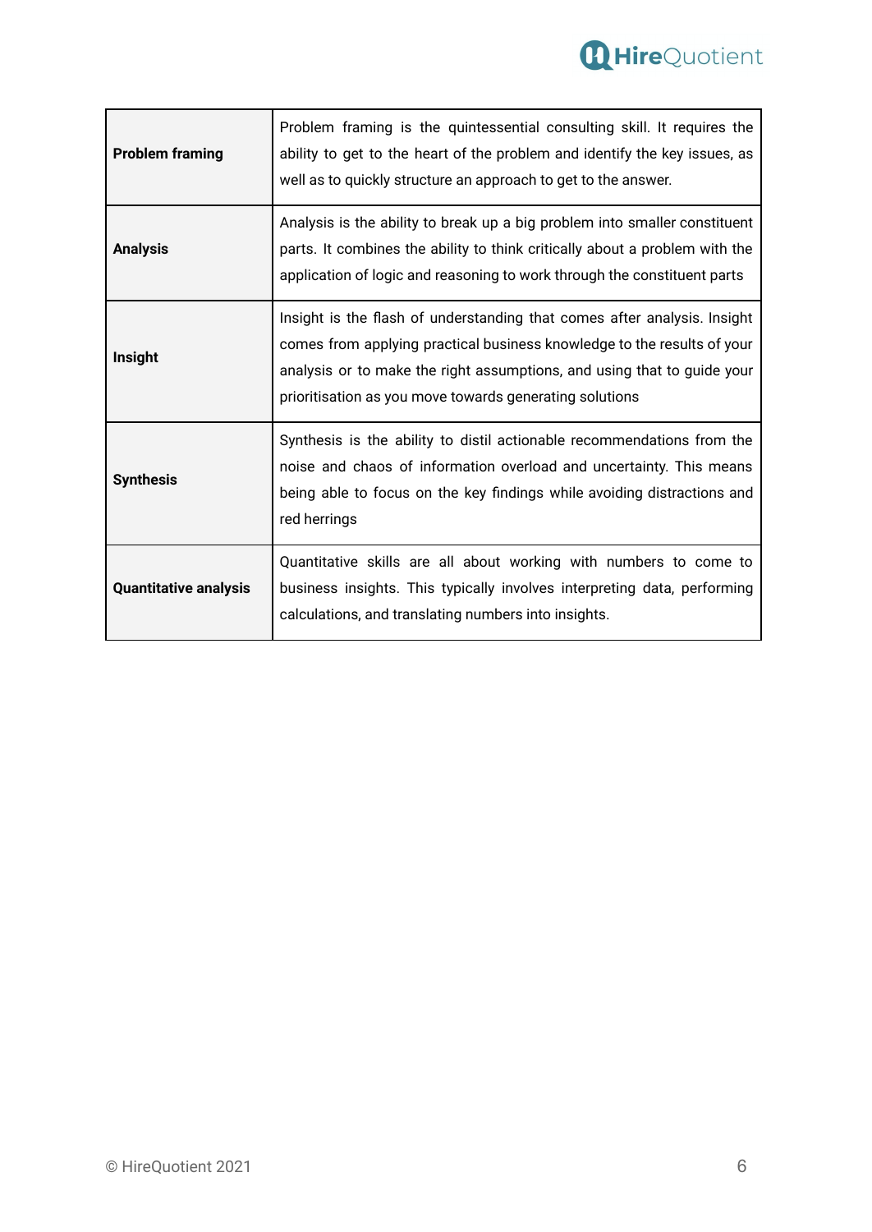

| <b>Problem framing</b>       | Problem framing is the quintessential consulting skill. It requires the<br>ability to get to the heart of the problem and identify the key issues, as<br>well as to quickly structure an approach to get to the answer.                                                                   |
|------------------------------|-------------------------------------------------------------------------------------------------------------------------------------------------------------------------------------------------------------------------------------------------------------------------------------------|
| <b>Analysis</b>              | Analysis is the ability to break up a big problem into smaller constituent<br>parts. It combines the ability to think critically about a problem with the<br>application of logic and reasoning to work through the constituent parts                                                     |
| Insight                      | Insight is the flash of understanding that comes after analysis. Insight<br>comes from applying practical business knowledge to the results of your<br>analysis or to make the right assumptions, and using that to guide your<br>prioritisation as you move towards generating solutions |
| <b>Synthesis</b>             | Synthesis is the ability to distil actionable recommendations from the<br>noise and chaos of information overload and uncertainty. This means<br>being able to focus on the key findings while avoiding distractions and<br>red herrings                                                  |
| <b>Quantitative analysis</b> | Quantitative skills are all about working with numbers to come to<br>business insights. This typically involves interpreting data, performing<br>calculations, and translating numbers into insights.                                                                                     |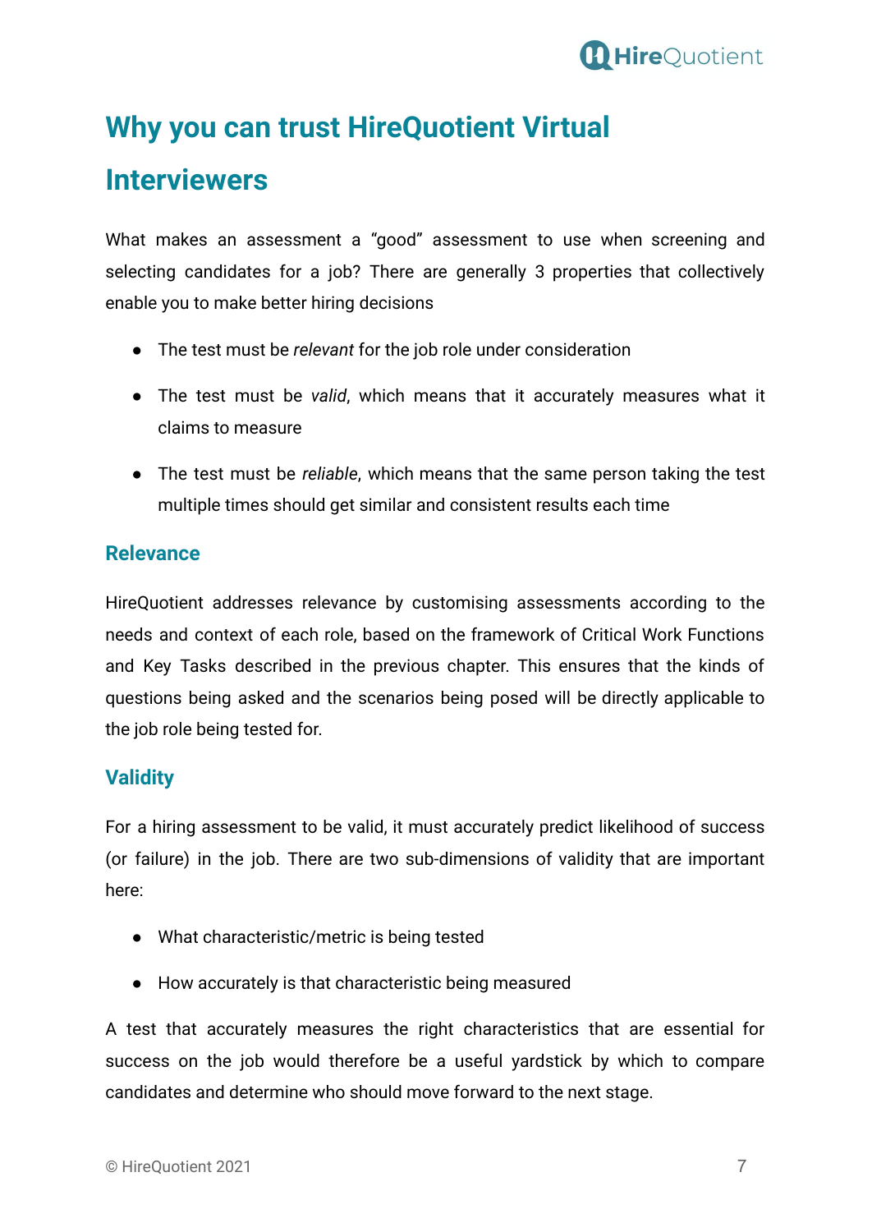

## <span id="page-6-0"></span>**Why you can trust HireQuotient Virtual**

# **Interviewers**

What makes an assessment a "good" assessment to use when screening and selecting candidates for a job? There are generally 3 properties that collectively enable you to make better hiring decisions

- The test must be *relevant* for the job role under consideration
- The test must be *valid*, which means that it accurately measures what it claims to measure
- The test must be *reliable*, which means that the same person taking the test multiple times should get similar and consistent results each time

### **Relevance**

HireQuotient addresses relevance by customising assessments according to the needs and context of each role, based on the framework of Critical Work Functions and Key Tasks described in the previous chapter. This ensures that the kinds of questions being asked and the scenarios being posed will be directly applicable to the job role being tested for.

### **Validity**

For a hiring assessment to be valid, it must accurately predict likelihood of success (or failure) in the job. There are two sub-dimensions of validity that are important here:

- What characteristic/metric is being tested
- How accurately is that characteristic being measured

A test that accurately measures the right characteristics that are essential for success on the job would therefore be a useful yardstick by which to compare candidates and determine who should move forward to the next stage.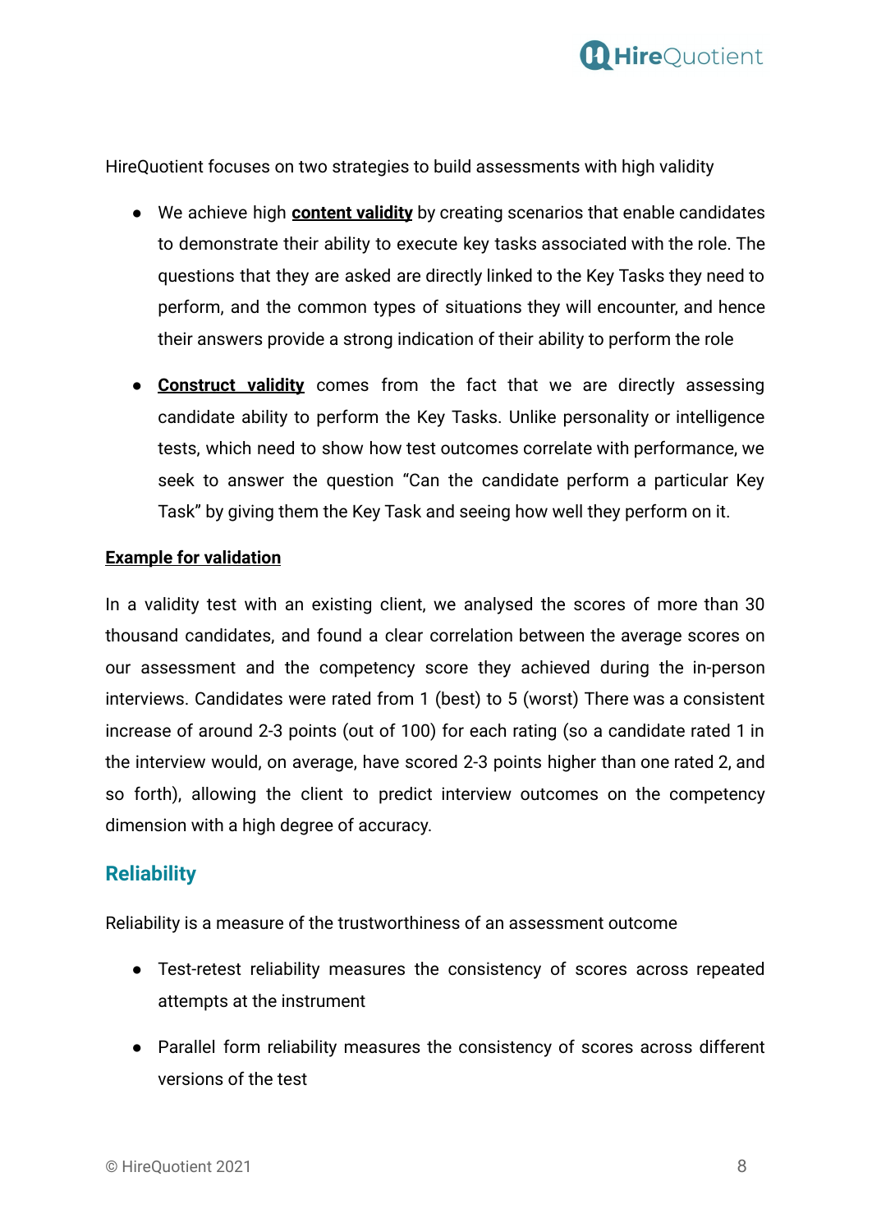

HireQuotient focuses on two strategies to build assessments with high validity

- We achieve high **content validity** by creating scenarios that enable candidates to demonstrate their ability to execute key tasks associated with the role. The questions that they are asked are directly linked to the Key Tasks they need to perform, and the common types of situations they will encounter, and hence their answers provide a strong indication of their ability to perform the role
- **Construct validity** comes from the fact that we are directly assessing candidate ability to perform the Key Tasks. Unlike personality or intelligence tests, which need to show how test outcomes correlate with performance, we seek to answer the question "Can the candidate perform a particular Key Task" by giving them the Key Task and seeing how well they perform on it.

#### **Example for validation**

In a validity test with an existing client, we analysed the scores of more than 30 thousand candidates, and found a clear correlation between the average scores on our assessment and the competency score they achieved during the in-person interviews. Candidates were rated from 1 (best) to 5 (worst) There was a consistent increase of around 2-3 points (out of 100) for each rating (so a candidate rated 1 in the interview would, on average, have scored 2-3 points higher than one rated 2, and so forth), allowing the client to predict interview outcomes on the competency dimension with a high degree of accuracy.

#### **Reliability**

Reliability is a measure of the trustworthiness of an assessment outcome

- Test-retest reliability measures the consistency of scores across repeated attempts at the instrument
- Parallel form reliability measures the consistency of scores across different versions of the test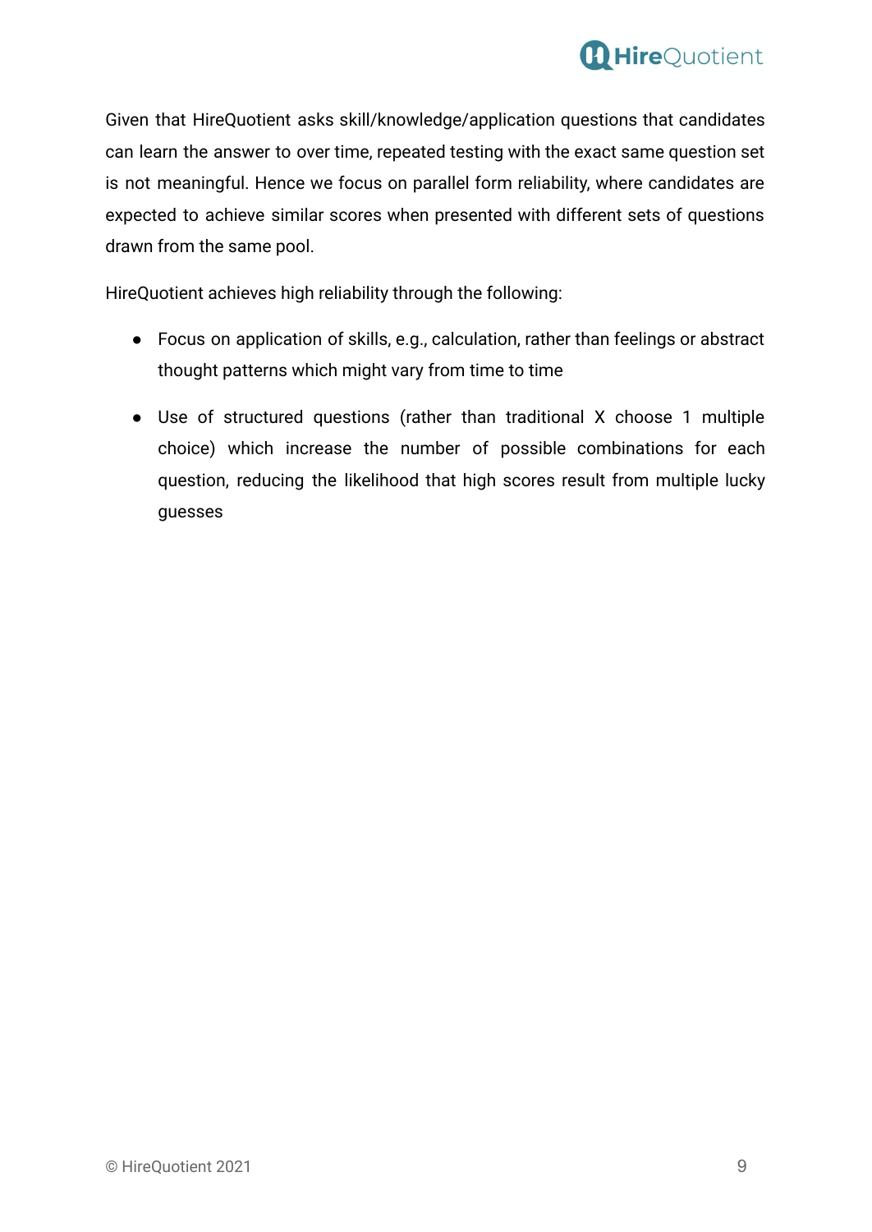

Given that HireQuotient asks skill/knowledge/application questions that candidates can learn the answer to over time, repeated testing with the exact same question set is not meaningful. Hence we focus on parallel form reliability, where candidates are expected to achieve similar scores when presented with different sets of questions drawn from the same pool.

HireQuotient achieves high reliability through the following:

- Focus on application of skills, e.g., calculation, rather than feelings or abstract thought patterns which might vary from time to time
- Use of structured questions (rather than traditional X choose 1 multiple choice) which increase the number of possible combinations for each question, reducing the likelihood that high scores result from multiple lucky guesses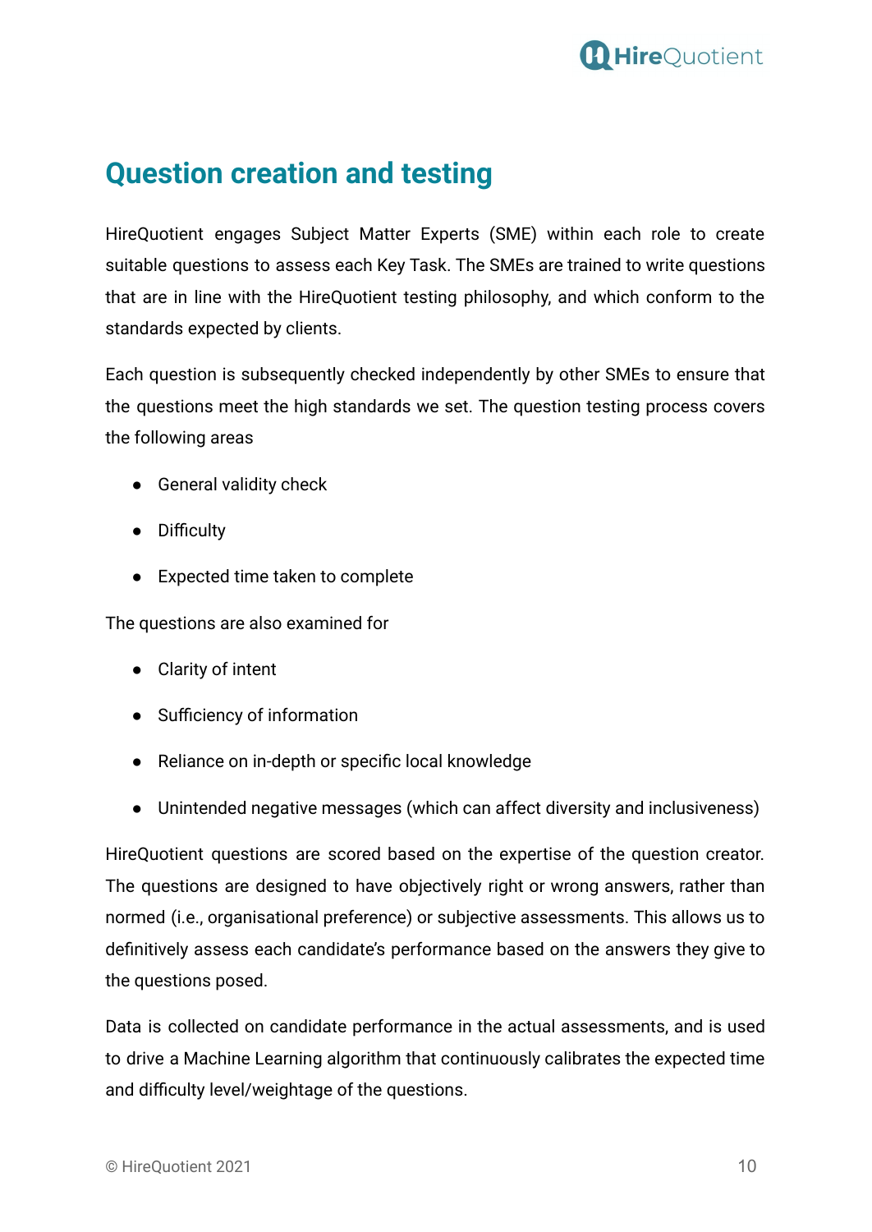

## <span id="page-9-0"></span>**Question creation and testing**

HireQuotient engages Subject Matter Experts (SME) within each role to create suitable questions to assess each Key Task. The SMEs are trained to write questions that are in line with the HireQuotient testing philosophy, and which conform to the standards expected by clients.

Each question is subsequently checked independently by other SMEs to ensure that the questions meet the high standards we set. The question testing process covers the following areas

- General validity check
- Difficulty
- Expected time taken to complete

The questions are also examined for

- Clarity of intent
- Sufficiency of information
- Reliance on in-depth or specific local knowledge
- Unintended negative messages (which can affect diversity and inclusiveness)

HireQuotient questions are scored based on the expertise of the question creator. The questions are designed to have objectively right or wrong answers, rather than normed (i.e., organisational preference) or subjective assessments. This allows us to definitively assess each candidate's performance based on the answers they give to the questions posed.

Data is collected on candidate performance in the actual assessments, and is used to drive a Machine Learning algorithm that continuously calibrates the expected time and difficulty level/weightage of the questions.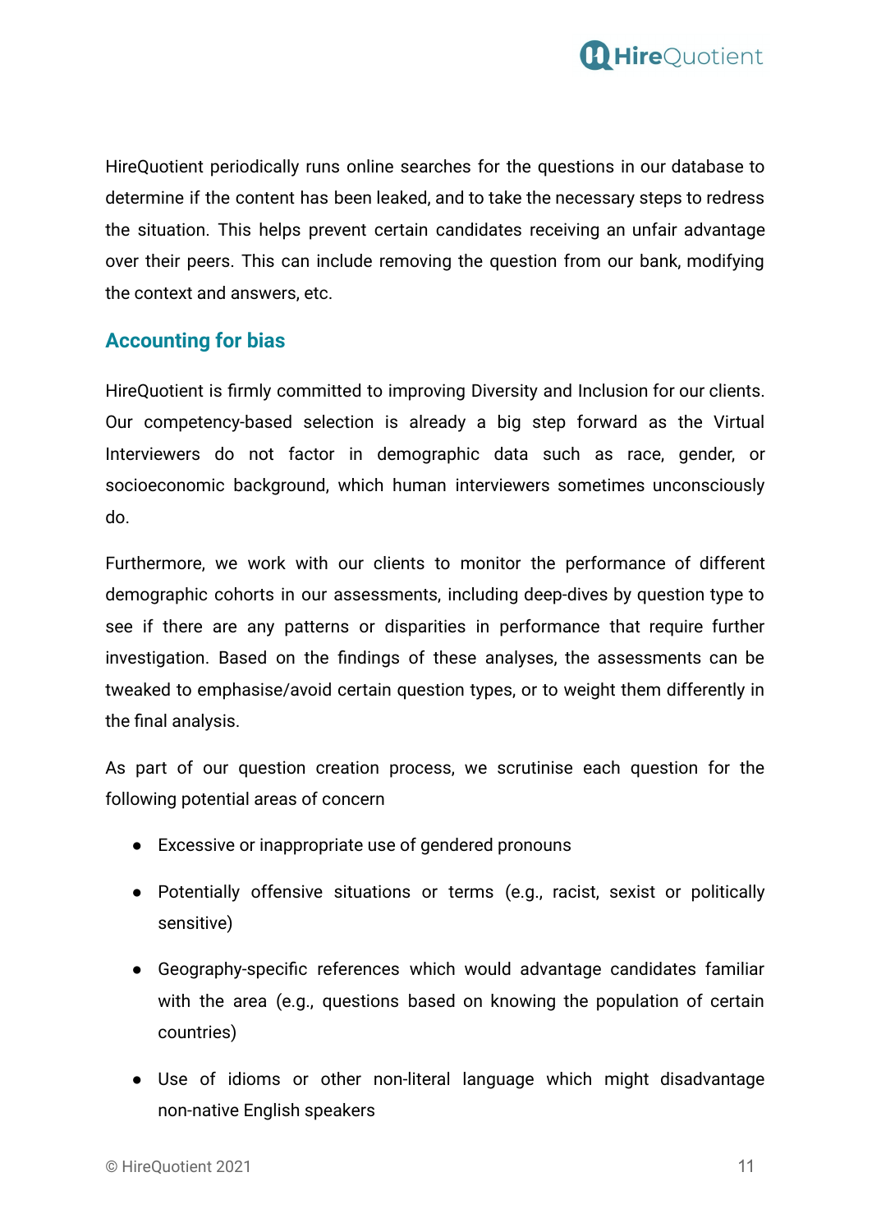

HireQuotient periodically runs online searches for the questions in our database to determine if the content has been leaked, and to take the necessary steps to redress the situation. This helps prevent certain candidates receiving an unfair advantage over their peers. This can include removing the question from our bank, modifying the context and answers, etc.

#### **Accounting for bias**

HireQuotient is firmly committed to improving Diversity and Inclusion for our clients. Our competency-based selection is already a big step forward as the Virtual Interviewers do not factor in demographic data such as race, gender, or socioeconomic background, which human interviewers sometimes unconsciously do.

Furthermore, we work with our clients to monitor the performance of different demographic cohorts in our assessments, including deep-dives by question type to see if there are any patterns or disparities in performance that require further investigation. Based on the findings of these analyses, the assessments can be tweaked to emphasise/avoid certain question types, or to weight them differently in the final analysis.

As part of our question creation process, we scrutinise each question for the following potential areas of concern

- Excessive or inappropriate use of gendered pronouns
- Potentially offensive situations or terms (e.g., racist, sexist or politically sensitive)
- Geography-specific references which would advantage candidates familiar with the area (e.g., questions based on knowing the population of certain countries)
- Use of idioms or other non-literal language which might disadvantage non-native English speakers